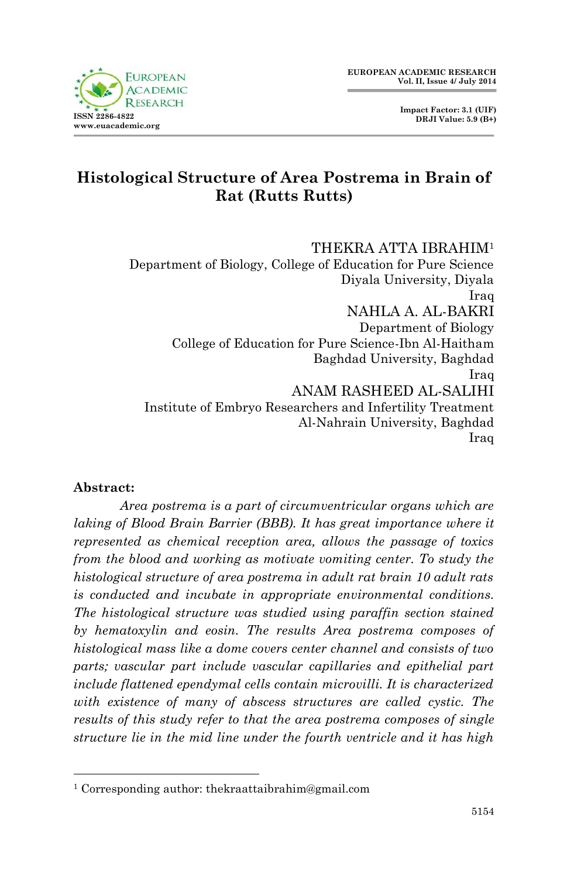**Impact Factor: 3.1 (UIF) DRJI Value: 5.9 (B+)**

# **Histological Structure of Area Postrema in Brain of Rat (Rutts Rutts)**

THEKRA ATTA IBRAHIM<sup>1</sup> Department of Biology, College of Education for Pure Science Diyala University, Diyala Iraq NAHLA A. AL-BAKRI Department of Biology College of Education for Pure Science-Ibn Al-Haitham Baghdad University, Baghdad Iraq ANAM RASHEED AL-SALIHI Institute of Embryo Researchers and Infertility Treatment Al-Nahrain University, Baghdad Iraq

#### **Abstract:**

1

*Area postrema is a part of circumventricular organs which are laking of Blood Brain Barrier (BBB). It has great importance where it represented as chemical reception area, allows the passage of toxics from the blood and working as motivate vomiting center. To study the histological structure of area postrema in adult rat brain 10 adult rats is conducted and incubate in appropriate environmental conditions. The histological structure was studied using paraffin section stained by hematoxylin and eosin. The results Area postrema composes of histological mass like a dome covers center channel and consists of two parts; vascular part include vascular capillaries and epithelial part include flattened ependymal cells contain microvilli. It is characterized with existence of many of abscess structures are called cystic. The results of this study refer to that the area postrema composes of single structure lie in the mid line under the fourth ventricle and it has high* 

<sup>1</sup> Corresponding author: thekraattaibrahim@gmail.com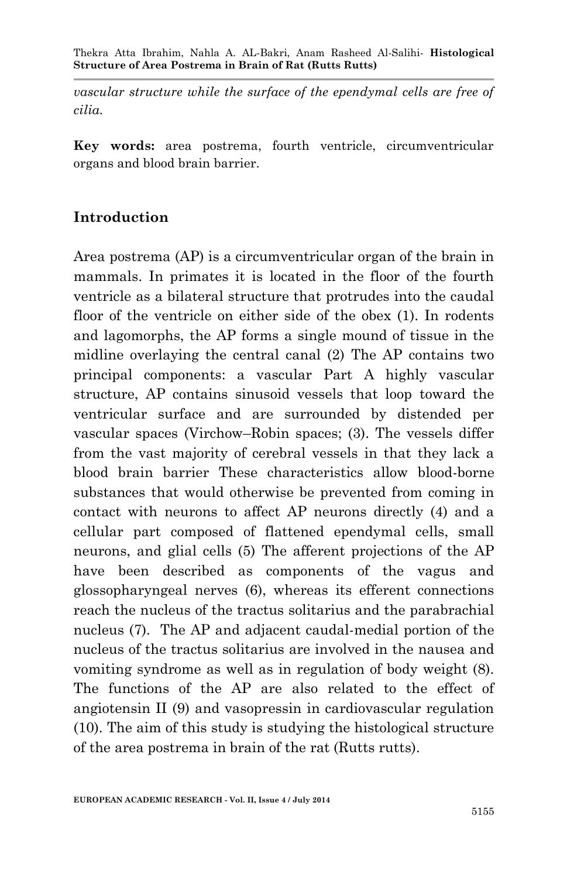*vascular structure while the surface of the ependymal cells are free of cilia.*

**Key words:** area postrema, fourth ventricle, circumventricular organs and blood brain barrier.

## **Introduction**

Area postrema (AP) is a circumventricular organ of the brain in mammals. In primates it is located in the floor of the fourth ventricle as a bilateral structure that protrudes into the caudal floor of the ventricle on either side of the obex (1). In rodents and lagomorphs, the AP forms a single mound of tissue in the midline overlaying the central canal (2) The AP contains two principal components: a vascular Part A highly vascular structure, AP contains sinusoid vessels that loop toward the ventricular surface and are surrounded by distended per vascular spaces (Virchow–Robin spaces; (3). The vessels differ from the vast majority of cerebral vessels in that they lack a blood brain barrier These characteristics allow blood-borne substances that would otherwise be prevented from coming in contact with neurons to affect AP neurons directly (4) and a cellular part composed of flattened ependymal cells, small neurons, and glial cells (5) The afferent projections of the AP have been described as components of the vagus and glossopharyngeal nerves (6), whereas its efferent connections reach the nucleus of the tractus solitarius and the parabrachial nucleus (7). The AP and adjacent caudal-medial portion of the nucleus of the tractus solitarius are involved in the nausea and vomiting syndrome as well as in regulation of body weight (8). The functions of the AP are also related to the effect of angiotensin II (9) and vasopressin in cardiovascular regulation (10). The aim of this study is studying the histological structure of the area postrema in brain of the rat (Rutts rutts).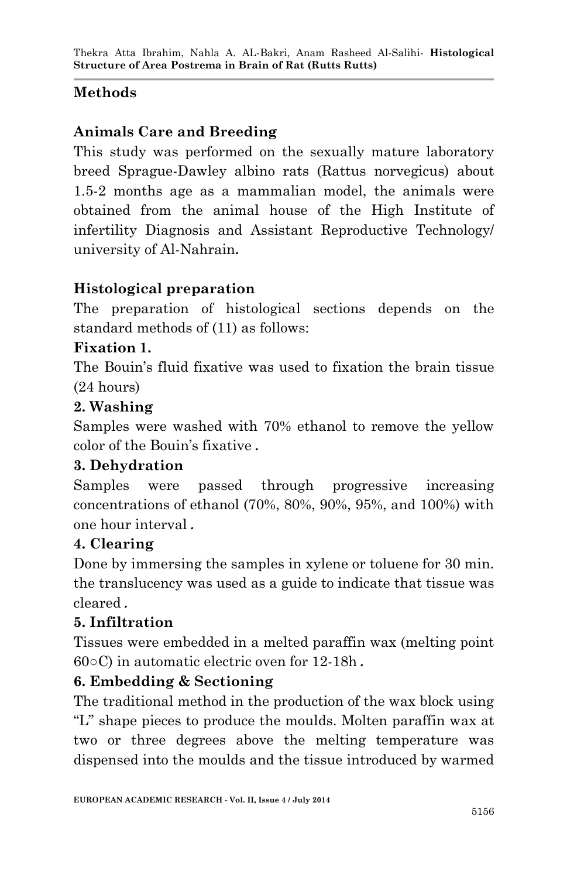# **Methods**

# **Animals Care and Breeding**

This study was performed on the sexually mature laboratory breed Sprague-Dawley albino rats (Rattus norvegicus) about 1.5-2 months age as a mammalian model, the animals were obtained from the animal house of the High Institute of infertility Diagnosis and Assistant Reproductive Technology/ university of Al-Nahrain**.**

## **Histological preparation**

The preparation of histological sections depends on the standard methods of (11) as follows:

## **Fixation 1.**

The Bouin's fluid fixative was used to fixation the brain tissue (24 hours)

## **2. Washing**

Samples were washed with 70% ethanol to remove the yellow color of the Bouin's fixative **.**

## **3. Dehydration**

Samples were passed through progressive increasing concentrations of ethanol (70%, 80%, 90%, 95%, and 100%) with one hour interval **.**

## **4. Clearing**

Done by immersing the samples in xylene or toluene for 30 min. the translucency was used as a guide to indicate that tissue was cleared **.**

## **5. Infiltration**

Tissues were embedded in a melted paraffin wax (melting point 60○C) in automatic electric oven for 12-18h **.**

## **6. Embedding & Sectioning**

The traditional method in the production of the wax block using "L" shape pieces to produce the moulds. Molten paraffin wax at two or three degrees above the melting temperature was dispensed into the moulds and the tissue introduced by warmed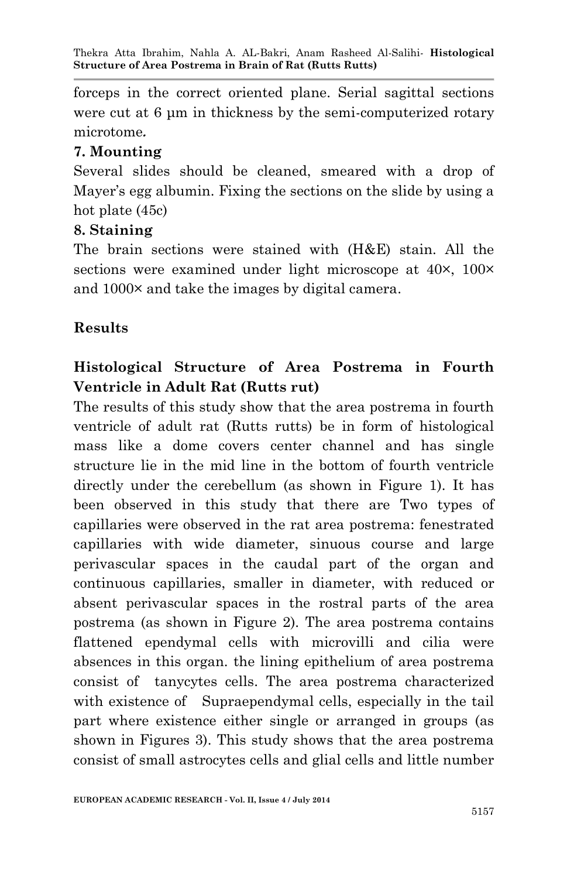forceps in the correct oriented plane. Serial sagittal sections were cut at 6 um in thickness by the semi-computerized rotary microtome**.**

#### **7. Mounting**

Several slides should be cleaned, smeared with a drop of Mayer's egg albumin. Fixing the sections on the slide by using a hot plate (45c)

#### **8. Staining**

The brain sections were stained with (H&E) stain. All the sections were examined under light microscope at  $40\times$ ,  $100\times$ and 1000× and take the images by digital camera.

#### **Results**

# **Histological Structure of Area Postrema in Fourth Ventricle in Adult Rat (Rutts rut)**

The results of this study show that the area postrema in fourth ventricle of adult rat (Rutts rutts) be in form of histological mass like a dome covers center channel and has single structure lie in the mid line in the bottom of fourth ventricle directly under the cerebellum (as shown in Figure 1). It has been observed in this study that there are Two types of capillaries were observed in the rat area postrema: fenestrated capillaries with wide diameter, sinuous course and large perivascular spaces in the caudal part of the organ and continuous capillaries, smaller in diameter, with reduced or absent perivascular spaces in the rostral parts of the area postrema (as shown in Figure 2). The area postrema contains flattened ependymal cells with microvilli and cilia were absences in this organ. the lining epithelium of area postrema consist of tanycytes cells. The area postrema characterized with existence of Supraependymal cells, especially in the tail part where existence either single or arranged in groups (as shown in Figures 3). This study shows that the area postrema consist of small astrocytes cells and glial cells and little number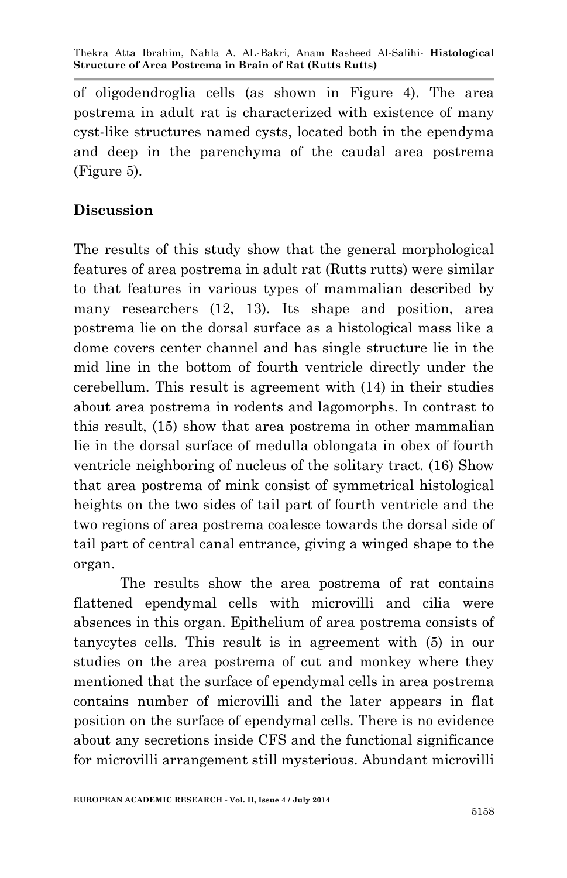of oligodendroglia cells (as shown in Figure 4). The area postrema in adult rat is characterized with existence of many cyst-like structures named cysts, located both in the ependyma and deep in the parenchyma of the caudal area postrema (Figure 5).

## **Discussion**

The results of this study show that the general morphological features of area postrema in adult rat (Rutts rutts) were similar to that features in various types of mammalian described by many researchers (12, 13). Its shape and position, area postrema lie on the dorsal surface as a histological mass like a dome covers center channel and has single structure lie in the mid line in the bottom of fourth ventricle directly under the cerebellum. This result is agreement with (14) in their studies about area postrema in rodents and lagomorphs. In contrast to this result, (15) show that area postrema in other mammalian lie in the dorsal surface of medulla oblongata in obex of fourth ventricle neighboring of nucleus of the solitary tract. (16) Show that area postrema of mink consist of symmetrical histological heights on the two sides of tail part of fourth ventricle and the two regions of area postrema coalesce towards the dorsal side of tail part of central canal entrance, giving a winged shape to the organ.

The results show the area postrema of rat contains flattened ependymal cells with microvilli and cilia were absences in this organ. Epithelium of area postrema consists of tanycytes cells. This result is in agreement with (5) in our studies on the area postrema of cut and monkey where they mentioned that the surface of ependymal cells in area postrema contains number of microvilli and the later appears in flat position on the surface of ependymal cells. There is no evidence about any secretions inside CFS and the functional significance for microvilli arrangement still mysterious. Abundant microvilli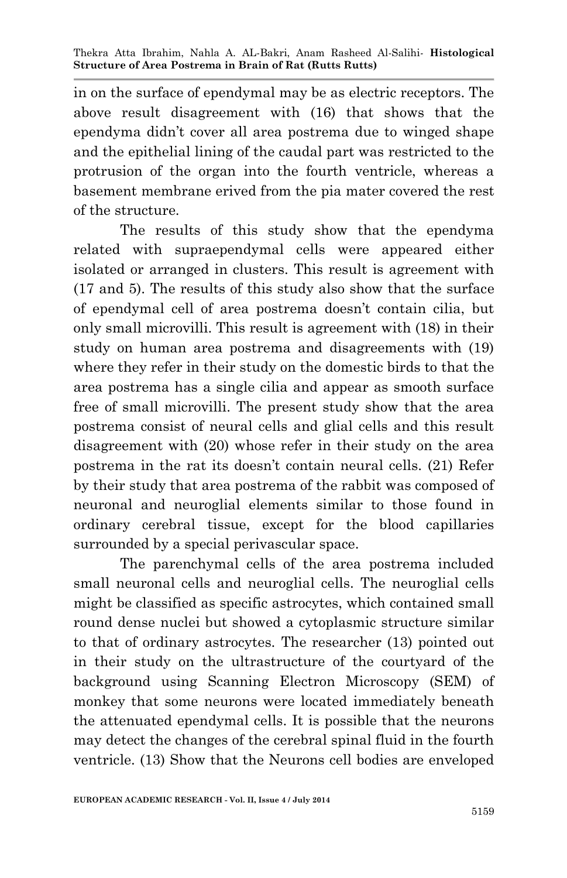in on the surface of ependymal may be as electric receptors. The above result disagreement with (16) that shows that the ependyma didn't cover all area postrema due to winged shape and the epithelial lining of the caudal part was restricted to the protrusion of the organ into the fourth ventricle, whereas a basement membrane erived from the pia mater covered the rest of the structure.

The results of this study show that the ependyma related with supraependymal cells were appeared either isolated or arranged in clusters. This result is agreement with (17 and 5). The results of this study also show that the surface of ependymal cell of area postrema doesn't contain cilia, but only small microvilli. This result is agreement with (18) in their study on human area postrema and disagreements with (19) where they refer in their study on the domestic birds to that the area postrema has a single cilia and appear as smooth surface free of small microvilli. The present study show that the area postrema consist of neural cells and glial cells and this result disagreement with (20) whose refer in their study on the area postrema in the rat its doesn't contain neural cells. (21) Refer by their study that area postrema of the rabbit was composed of neuronal and neuroglial elements similar to those found in ordinary cerebral tissue, except for the blood capillaries surrounded by a special perivascular space.

The parenchymal cells of the area postrema included small neuronal cells and neuroglial cells. The neuroglial cells might be classified as specific astrocytes, which contained small round dense nuclei but showed a cytoplasmic structure similar to that of ordinary astrocytes. The researcher (13) pointed out in their study on the ultrastructure of the courtyard of the background using Scanning Electron Microscopy (SEM) of monkey that some neurons were located immediately beneath the attenuated ependymal cells. It is possible that the neurons may detect the changes of the cerebral spinal fluid in the fourth ventricle. (13) Show that the Neurons cell bodies are enveloped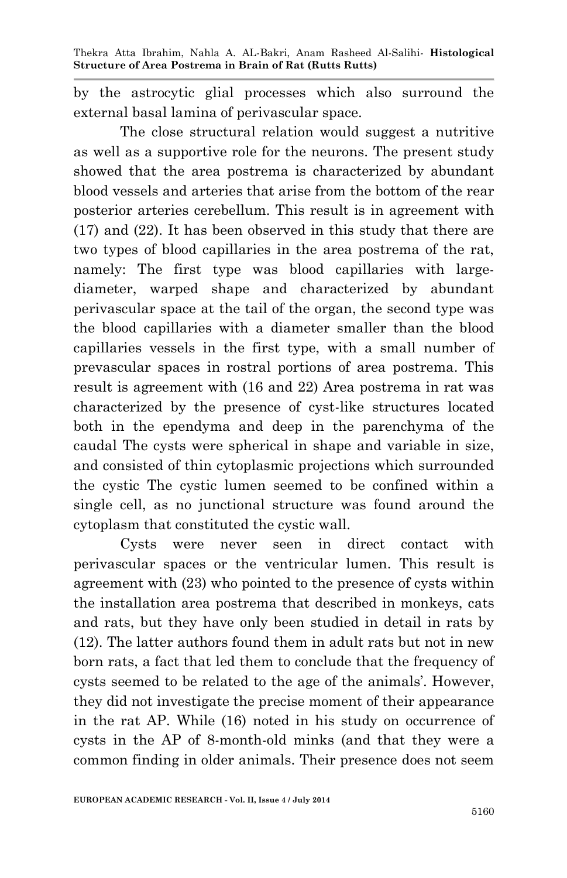by the astrocytic glial processes which also surround the external basal lamina of perivascular space.

The close structural relation would suggest a nutritive as well as a supportive role for the neurons. The present study showed that the area postrema is characterized by abundant blood vessels and arteries that arise from the bottom of the rear posterior arteries cerebellum. This result is in agreement with (17) and (22). It has been observed in this study that there are two types of blood capillaries in the area postrema of the rat, namely: The first type was blood capillaries with largediameter, warped shape and characterized by abundant perivascular space at the tail of the organ, the second type was the blood capillaries with a diameter smaller than the blood capillaries vessels in the first type, with a small number of prevascular spaces in rostral portions of area postrema. This result is agreement with (16 and 22) Area postrema in rat was characterized by the presence of cyst-like structures located both in the ependyma and deep in the parenchyma of the caudal The cysts were spherical in shape and variable in size, and consisted of thin cytoplasmic projections which surrounded the cystic The cystic lumen seemed to be confined within a single cell, as no junctional structure was found around the cytoplasm that constituted the cystic wall.

Cysts were never seen in direct contact with perivascular spaces or the ventricular lumen. This result is agreement with (23) who pointed to the presence of cysts within the installation area postrema that described in monkeys, cats and rats, but they have only been studied in detail in rats by (12). The latter authors found them in adult rats but not in new born rats, a fact that led them to conclude that the frequency of cysts seemed to be related to the age of the animals'. However, they did not investigate the precise moment of their appearance in the rat AP. While (16) noted in his study on occurrence of cysts in the AP of 8-month-old minks (and that they were a common finding in older animals. Their presence does not seem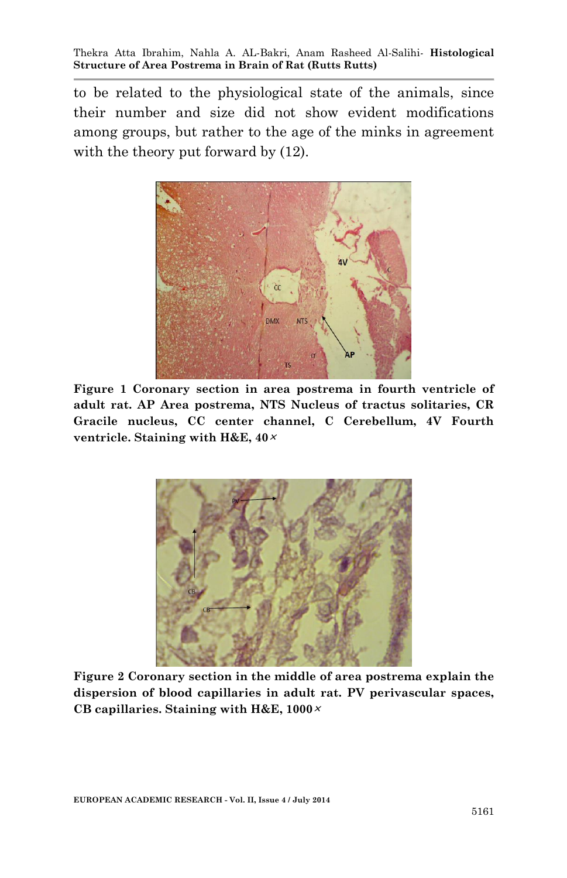to be related to the physiological state of the animals, since their number and size did not show evident modifications among groups, but rather to the age of the minks in agreement with the theory put forward by  $(12)$ .



**Figure 1 Coronary section in area postrema in fourth ventricle of adult rat. AP Area postrema, NTS Nucleus of tractus solitaries, CR Gracile nucleus, CC center channel, C Cerebellum, 4V Fourth ventricle. Staining with H&E, 40<sup>×</sup>**



**Figure 2 Coronary section in the middle of area postrema explain the dispersion of blood capillaries in adult rat. PV perivascular spaces, CB capillaries. Staining with H&E, 1000×**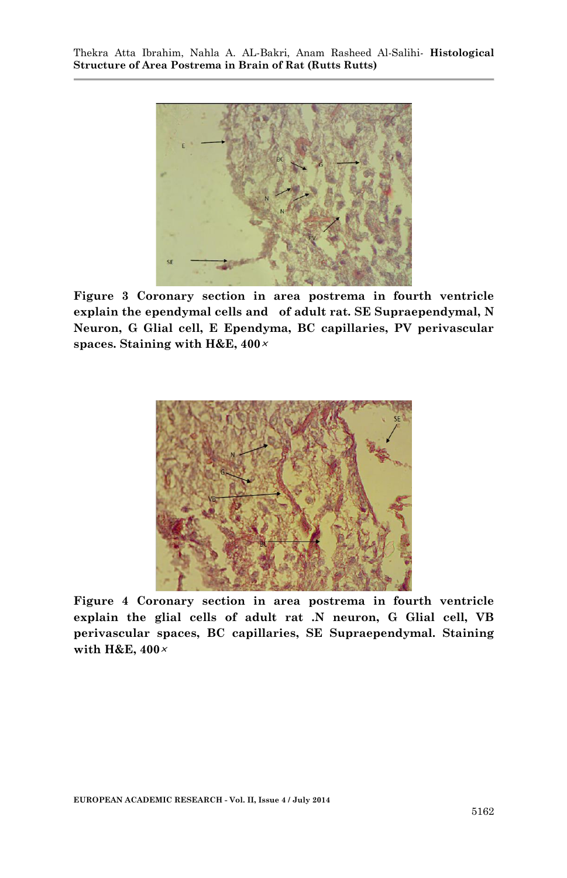

**Figure 3 Coronary section in area postrema in fourth ventricle explain the ependymal cells and of adult rat. SE Supraependymal, N Neuron, G Glial cell, E Ependyma, BC capillaries, PV perivascular spaces. Staining with H&E, 400<sup>×</sup>**



**Figure 4 Coronary section in area postrema in fourth ventricle explain the glial cells of adult rat .N neuron, G Glial cell, VB perivascular spaces, BC capillaries, SE Supraependymal. Staining with H&E, 400×**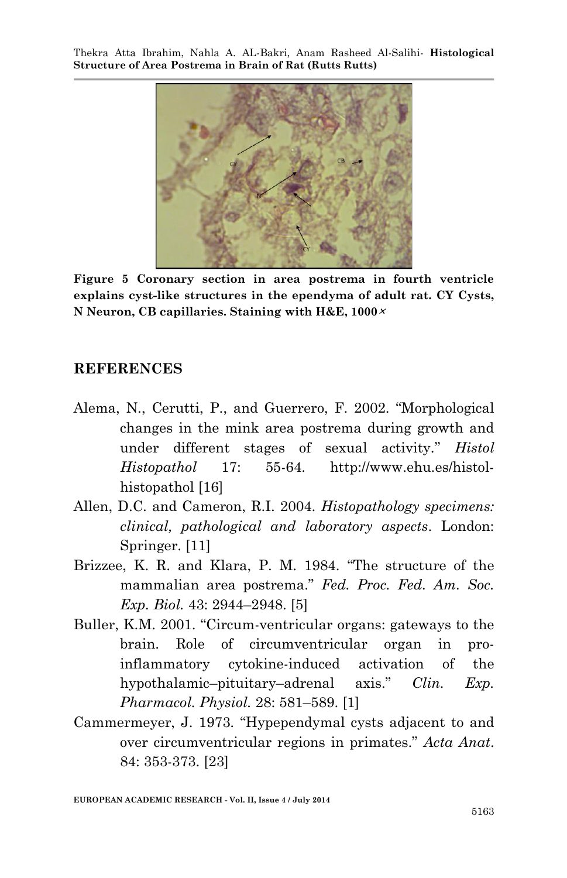

**Figure 5 Coronary section in area postrema in fourth ventricle explains cyst-like structures in the ependyma of adult rat. CY Cysts, N Neuron, CB capillaries. Staining with H&E, 1000<sup>×</sup>**

#### **REFERENCES**

- Alema, N., Cerutti, P., and Guerrero, F. 2002. "Morphological changes in the mink area postrema during growth and under different stages of sexual activity." *Histol Histopathol* 17: 55-64. http://www.ehu.es/histolhistopathol [16]
- Allen, D.C. and Cameron, R.I. 2004. *Histopathology specimens: clinical, pathological and laboratory aspects*. London: Springer. [11]
- Brizzee, K. R. and Klara, P. M. 1984. "The structure of the mammalian area postrema." *Fed. Proc. Fed. Am. Soc. Exp. Biol.* 43: 2944–2948. [5]
- Buller, K.M. 2001. "Circum-ventricular organs: gateways to the brain. Role of circumventricular organ in proinflammatory cytokine-induced activation of the hypothalamic–pituitary–adrenal axis." *Clin. Exp. Pharmacol. Physiol.* 28: 581–589. [1]
- Cammermeyer, J. 1973. "Hypependymal cysts adjacent to and over circumventricular regions in primates." *Acta Anat*. 84: 353-373. [23]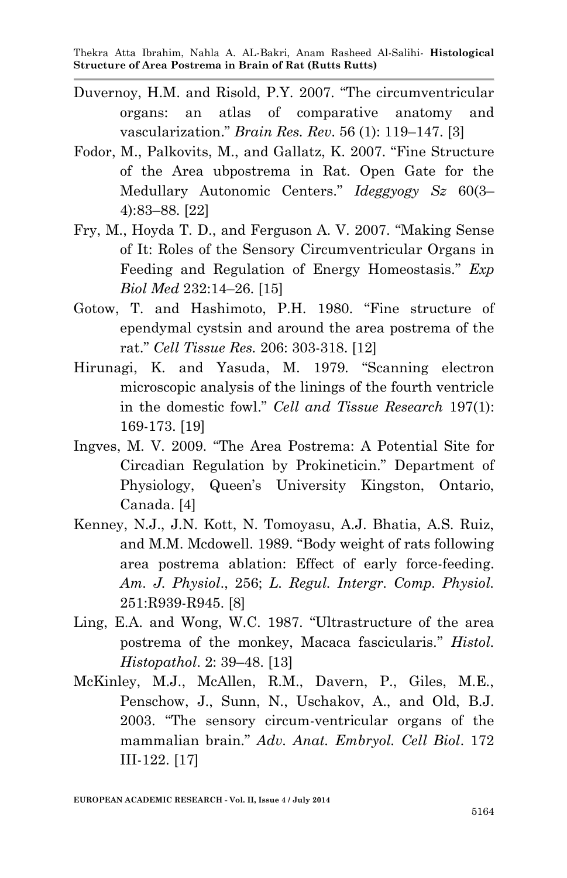- Duvernoy, H.M. and Risold, P.Y. 2007. "The circumventricular organs: an atlas of comparative anatomy and vascularization." *Brain Res. Rev*. 56 (1): 119–147. [3]
- Fodor, M., Palkovits, M., and Gallatz, K. 2007. "Fine Structure of the Area ubpostrema in Rat. Open Gate for the Medullary Autonomic Centers." *Ideggyogy Sz* 60(3– 4):83–88. [22]
- Fry, M., Hoyda T. D., and Ferguson A. V. 2007. "Making Sense of It: Roles of the Sensory Circumventricular Organs in Feeding and Regulation of Energy Homeostasis." *Exp Biol Med* 232:14–26. [15]
- Gotow, T. and Hashimoto, P.H. 1980. "Fine structure of ependymal cystsin and around the area postrema of the rat." *Cell Tissue Res.* 206: 303-318. [12]
- Hirunagi, K. and Yasuda, M. 1979. "Scanning electron microscopic analysis of the linings of the fourth ventricle in the domestic fowl." *Cell and Tissue Research* 197(1): 169-173. [19]
- Ingves, M. V. 2009. "The Area Postrema: A Potential Site for Circadian Regulation by Prokineticin." Department of Physiology, Queen's University Kingston, Ontario, Canada. [4]
- Kenney, N.J., J.N. Kott, N. Tomoyasu, A.J. Bhatia, A.S. Ruiz, and M.M. Mcdowell. 1989. "Body weight of rats following area postrema ablation: Effect of early force-feeding. *Am. J. Physiol*., 256; *L. Regul. Intergr. Comp. Physiol.* 251:R939-R945. [8]
- Ling, E.A. and Wong, W.C. 1987. "Ultrastructure of the area postrema of the monkey, Macaca fascicularis." *Histol. Histopathol*. 2: 39–48. [13]
- McKinley, M.J., McAllen, R.M., Davern, P., Giles, M.E., Penschow, J., Sunn, N., Uschakov, A., and Old, B.J. 2003. "The sensory circum-ventricular organs of the mammalian brain." *Adv. Anat. Embryol. Cell Biol*. 172 III-122. [17]